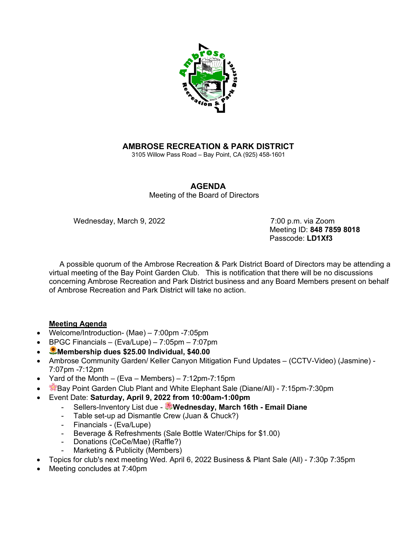

## **AMBROSE RECREATION & PARK DISTRICT**

3105 Willow Pass Road – Bay Point, CA (925) 458-1601

## **AGENDA**

Meeting of the Board of Directors

Wednesday, March 9, 2022 **7:00 p.m.** via Zoom

 Meeting ID: **848 7859 8018** Passcode: **LD1Xf3**

 A possible quorum of the Ambrose Recreation & Park District Board of Directors may be attending a virtual meeting of the Bay Point Garden Club. This is notification that there will be no discussions concerning Ambrose Recreation and Park District business and any Board Members present on behalf of Ambrose Recreation and Park District will take no action.

## **Meeting Agenda**

- Welcome/Introduction- (Mae) 7:00pm -7:05pm
- BPGC Financials (Eva/Lupe) 7:05pm 7:07pm
- **Membership dues \$25.00 Individual, \$40.00**
- Ambrose Community Garden/ Keller Canyon Mitigation Fund Updates (CCTV-Video) (Jasmine) 7:07pm -7:12pm
- Yard of the Month (Eva Members)  $7:12$ pm- $7:15$ pm
- Bay Point Garden Club Plant and White Elephant Sale (Diane/All) 7:15pm-7:30pm
- Event Date: **Saturday, April 9, 2022 from 10:00am-1:00pm**
	- Sellers-Inventory List due **Wednesday, March 16th - Email Diane**
	- Table set-up ad Dismantle Crew (Juan & Chuck?)
	- Financials (Eva/Lupe)
	- Beverage & Refreshments (Sale Bottle Water/Chips for \$1.00)
	- Donations (CeCe/Mae) (Raffle?)
	- Marketing & Publicity (Members)
- Topics for club's next meeting Wed. April 6, 2022 Business & Plant Sale (All) 7:30p 7:35pm
- Meeting concludes at 7:40pm